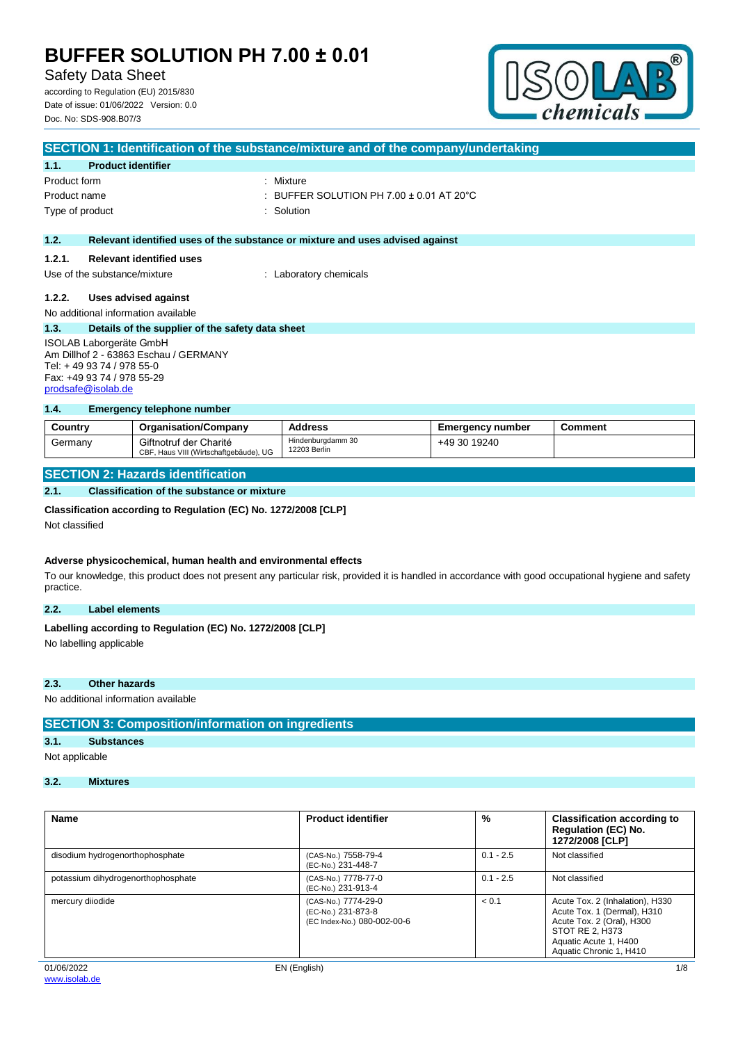Safety Data Sheet

according to Regulation (EU) 2015/830 Date of issue: 01/06/2022 Version: 0.0 Doc. No: SDS-908.B07/3



| SECTION 1: Identification of the substance/mixture and of the company/undertaking |                                                  |                                                                               |  |
|-----------------------------------------------------------------------------------|--------------------------------------------------|-------------------------------------------------------------------------------|--|
| 1.1.                                                                              | <b>Product identifier</b>                        |                                                                               |  |
| Product form                                                                      |                                                  | : Mixture                                                                     |  |
| Product name                                                                      |                                                  | : BUFFER SOLUTION PH 7.00 $\pm$ 0.01 AT 20 $^{\circ}$ C                       |  |
|                                                                                   | Type of product                                  | : Solution                                                                    |  |
|                                                                                   |                                                  |                                                                               |  |
| 1.2.                                                                              |                                                  | Relevant identified uses of the substance or mixture and uses advised against |  |
| 1.2.1.                                                                            | <b>Relevant identified uses</b>                  |                                                                               |  |
|                                                                                   | Use of the substance/mixture                     | : Laboratory chemicals                                                        |  |
| 1.2.2.                                                                            | Uses advised against                             |                                                                               |  |
|                                                                                   |                                                  |                                                                               |  |
|                                                                                   | No additional information available              |                                                                               |  |
| 1.3.                                                                              | Details of the supplier of the safety data sheet |                                                                               |  |
| <b>ISOLAB Laborgeräte GmbH</b>                                                    |                                                  |                                                                               |  |
| Am Dillhof 2 - 63863 Eschau / GERMANY                                             |                                                  |                                                                               |  |
| Tel: +49 93 74 / 978 55-0                                                         |                                                  |                                                                               |  |
|                                                                                   | Fax: +49 93 74 / 978 55-29                       |                                                                               |  |

### **1.4. Emergency telephone number**

| Country | <b>Organisation/Company</b>                                      | <b>Address</b>                    | <b>Emergency number</b> | Comment |
|---------|------------------------------------------------------------------|-----------------------------------|-------------------------|---------|
| Germany | Giftnotruf der Charité<br>CBF, Haus VIII (Wirtschaftgebäude), UG | Hindenburgdamm 30<br>12203 Berlin | +49 30 19240            |         |

## **SECTION 2: Hazards identification**

### **2.1. Classification of the substance or mixture**

#### **Classification according to Regulation (EC) No. 1272/2008 [CLP]**

Not classified

[prodsafe@isolab.de](mailto:prodsafe@isolab.de)

### **Adverse physicochemical, human health and environmental effects**

To our knowledge, this product does not present any particular risk, provided it is handled in accordance with good occupational hygiene and safety practice.

### **2.2. Label elements**

# Labelling according to Regulation (EC) No. 1272/2008 [CLP]

No labelling applicable

### **2.3. Other hazards**

No additional information available

## **SECTION 3: Composition/information on ingredients**

## **3.1. Substances**

Not applicable

# **3.2. Mixtures**

| <b>Name</b>                        | <b>Product identifier</b>                                                | %           | <b>Classification according to</b><br><b>Regulation (EC) No.</b><br>1272/2008 [CLP]                                                                                |
|------------------------------------|--------------------------------------------------------------------------|-------------|--------------------------------------------------------------------------------------------------------------------------------------------------------------------|
| disodium hydrogenorthophosphate    | (CAS-No.) 7558-79-4<br>(EC-No.) 231-448-7                                | $0.1 - 2.5$ | Not classified                                                                                                                                                     |
| potassium dihydrogenorthophosphate | (CAS-No.) 7778-77-0<br>(EC-No.) 231-913-4                                | $0.1 - 2.5$ | Not classified                                                                                                                                                     |
| mercury diiodide                   | (CAS-No.) 7774-29-0<br>(EC-No.) 231-873-8<br>(EC Index-No.) 080-002-00-6 | < 0.1       | Acute Tox. 2 (Inhalation), H330<br>Acute Tox. 1 (Dermal), H310<br>Acute Tox. 2 (Oral), H300<br>STOT RE 2, H373<br>Aquatic Acute 1, H400<br>Aquatic Chronic 1, H410 |
| 01/06/2022                         | EN (English)                                                             |             | 1/8                                                                                                                                                                |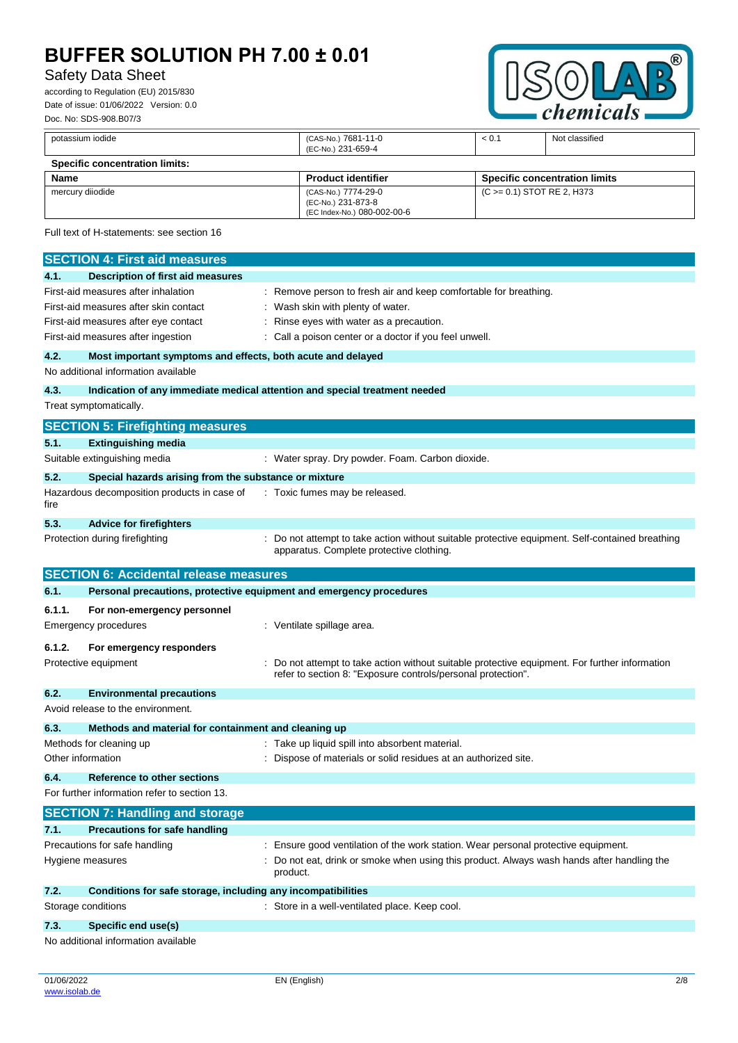potassium iodide (CAS-No.) 7681-11-0

# Safety Data Sheet

according to Regulation (EU) 2015/830 Date of issue: 01/06/2022 Version: 0.0 Doc. No: SDS-908.B07/3



< 0.1 Not classified

|                  |                                                                            | (EC-No.) 231-659-4                                                                                                                                           |                            |                                      |
|------------------|----------------------------------------------------------------------------|--------------------------------------------------------------------------------------------------------------------------------------------------------------|----------------------------|--------------------------------------|
|                  | <b>Specific concentration limits:</b>                                      |                                                                                                                                                              |                            |                                      |
| <b>Name</b>      |                                                                            | <b>Product identifier</b>                                                                                                                                    |                            | <b>Specific concentration limits</b> |
| mercury diiodide |                                                                            | (CAS-No.) 7774-29-0<br>(EC-No.) 231-873-8<br>(EC Index-No.) 080-002-00-6                                                                                     | (C >= 0.1) STOT RE 2, H373 |                                      |
|                  | Full text of H-statements: see section 16                                  |                                                                                                                                                              |                            |                                      |
|                  | <b>SECTION 4: First aid measures</b>                                       |                                                                                                                                                              |                            |                                      |
| 4.1.             | <b>Description of first aid measures</b>                                   |                                                                                                                                                              |                            |                                      |
|                  | First-aid measures after inhalation                                        | : Remove person to fresh air and keep comfortable for breathing.                                                                                             |                            |                                      |
|                  | First-aid measures after skin contact                                      | Wash skin with plenty of water.                                                                                                                              |                            |                                      |
|                  | First-aid measures after eye contact                                       | Rinse eyes with water as a precaution.                                                                                                                       |                            |                                      |
|                  | First-aid measures after ingestion                                         | Call a poison center or a doctor if you feel unwell.                                                                                                         |                            |                                      |
| 4.2.             | Most important symptoms and effects, both acute and delayed                |                                                                                                                                                              |                            |                                      |
|                  | No additional information available                                        |                                                                                                                                                              |                            |                                      |
| 4.3.             | Indication of any immediate medical attention and special treatment needed |                                                                                                                                                              |                            |                                      |
|                  | Treat symptomatically.                                                     |                                                                                                                                                              |                            |                                      |
|                  | <b>SECTION 5: Firefighting measures</b>                                    |                                                                                                                                                              |                            |                                      |
| 5.1.             | <b>Extinguishing media</b>                                                 |                                                                                                                                                              |                            |                                      |
|                  | Suitable extinguishing media                                               | : Water spray. Dry powder. Foam. Carbon dioxide.                                                                                                             |                            |                                      |
| 5.2.             | Special hazards arising from the substance or mixture                      |                                                                                                                                                              |                            |                                      |
| fire             | Hazardous decomposition products in case of                                | : Toxic fumes may be released.                                                                                                                               |                            |                                      |
| 5.3.             | <b>Advice for firefighters</b>                                             |                                                                                                                                                              |                            |                                      |
|                  | Protection during firefighting                                             | : Do not attempt to take action without suitable protective equipment. Self-contained breathing<br>apparatus. Complete protective clothing.                  |                            |                                      |
|                  | <b>SECTION 6: Accidental release measures</b>                              |                                                                                                                                                              |                            |                                      |
| 6.1.             | Personal precautions, protective equipment and emergency procedures        |                                                                                                                                                              |                            |                                      |
| 6.1.1.           | For non-emergency personnel                                                |                                                                                                                                                              |                            |                                      |
|                  | <b>Emergency procedures</b>                                                | : Ventilate spillage area.                                                                                                                                   |                            |                                      |
| 6.1.2.           | For emergency responders                                                   |                                                                                                                                                              |                            |                                      |
|                  | Protective equipment                                                       | Do not attempt to take action without suitable protective equipment. For further information<br>refer to section 8: "Exposure controls/personal protection". |                            |                                      |
| 6.2.             | <b>Environmental precautions</b>                                           |                                                                                                                                                              |                            |                                      |
|                  | Avoid release to the environment.                                          |                                                                                                                                                              |                            |                                      |
| 6.3.             | Methods and material for containment and cleaning up                       |                                                                                                                                                              |                            |                                      |

Methods for cleaning up **Example 20** Methods for cleaning up : Take up liquid spill into absorbent material. Other information interest of materials or solid residues at an authorized site. **6.4. Reference to other sections** For further information refer to section 13.

**SECTION 7: Handling and storage 7.1. Precautions for safe handling** Precautions for safe handling **interpretent in the station** of the work station. Wear personal protective equipment. Hygiene measures **included in the state of the Constantist** Do not eat, drink or smoke when using this product. Always wash hands after handling the product. **7.2. Conditions for safe storage, including any incompatibilities** Storage conditions **Storage conditions** : Store in a well-ventilated place. Keep cool.

### **7.3. Specific end use(s)**

No additional information available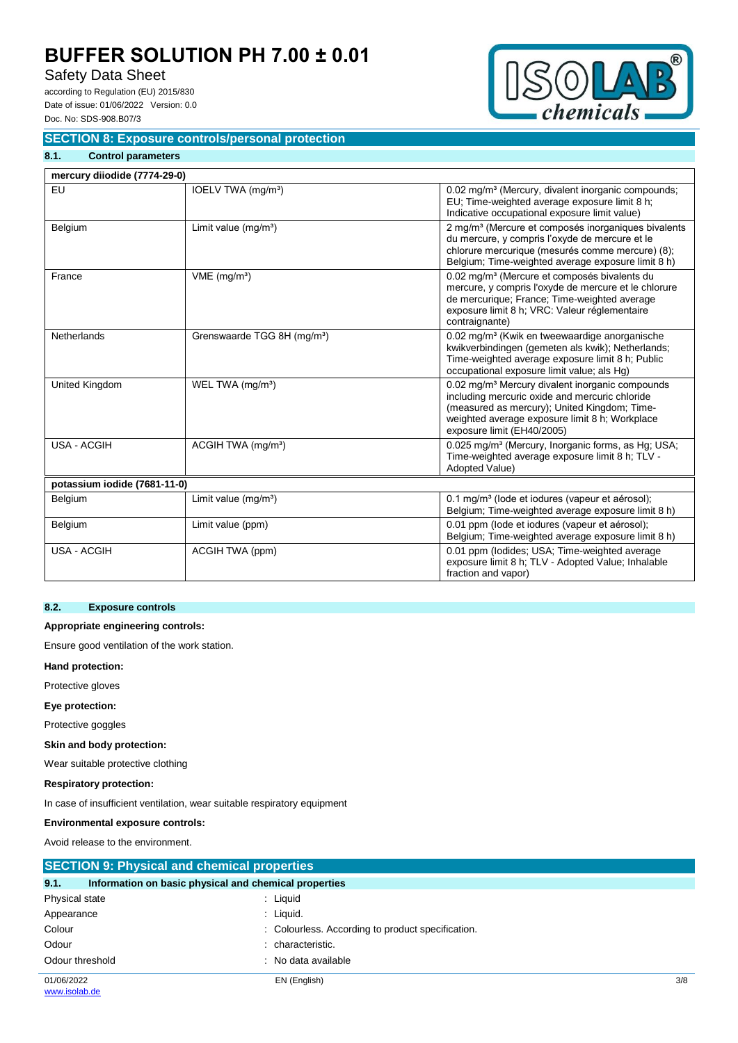# Safety Data Sheet

according to Regulation (EU) 2015/830 Date of issue: 01/06/2022 Version: 0.0 Doc. No: SDS-908.B07/3

**8.1. Control parameters**



## **SECTION 8: Exposure controls/personal protection**

| mercury diiodide (7774-29-0) |                                         |                                                                                                                                                                                                                                               |
|------------------------------|-----------------------------------------|-----------------------------------------------------------------------------------------------------------------------------------------------------------------------------------------------------------------------------------------------|
| EU                           | IOELV TWA (mg/m <sup>3</sup> )          | 0.02 mg/m <sup>3</sup> (Mercury, divalent inorganic compounds;<br>EU; Time-weighted average exposure limit 8 h;<br>Indicative occupational exposure limit value)                                                                              |
| Belgium                      | Limit value $(mq/m^3)$                  | 2 mg/m <sup>3</sup> (Mercure et composés inorganiques bivalents<br>du mercure, y compris l'oxyde de mercure et le<br>chlorure mercurique (mesurés comme mercure) (8);<br>Belgium; Time-weighted average exposure limit 8 h)                   |
| France                       | $VME$ (mg/m <sup>3</sup> )              | 0.02 mg/m <sup>3</sup> (Mercure et composés bivalents du<br>mercure, y compris l'oxyde de mercure et le chlorure<br>de mercurique; France; Time-weighted average<br>exposure limit 8 h; VRC: Valeur réglementaire<br>contraignante)           |
| <b>Netherlands</b>           | Grenswaarde TGG 8H (mg/m <sup>3</sup> ) | 0.02 mg/m <sup>3</sup> (Kwik en tweewaardige anorganische<br>kwikverbindingen (gemeten als kwik); Netherlands;<br>Time-weighted average exposure limit 8 h; Public<br>occupational exposure limit value; als Hg)                              |
| United Kingdom               | WEL TWA (mg/m <sup>3</sup> )            | 0.02 mg/m <sup>3</sup> Mercury divalent inorganic compounds<br>including mercuric oxide and mercuric chloride<br>(measured as mercury); United Kingdom; Time-<br>weighted average exposure limit 8 h; Workplace<br>exposure limit (EH40/2005) |
| <b>USA - ACGIH</b>           | ACGIH TWA (mg/m <sup>3</sup> )          | 0.025 mg/m <sup>3</sup> (Mercury, Inorganic forms, as Hg; USA;<br>Time-weighted average exposure limit 8 h; TLV -<br>Adopted Value)                                                                                                           |
| potassium iodide (7681-11-0) |                                         |                                                                                                                                                                                                                                               |
| Belgium                      | Limit value $(mg/m3)$                   | 0.1 mg/m <sup>3</sup> (lode et iodures (vapeur et aérosol);<br>Belgium; Time-weighted average exposure limit 8 h)                                                                                                                             |
| Belgium                      | Limit value (ppm)                       | 0.01 ppm (lode et iodures (vapeur et aérosol);<br>Belgium; Time-weighted average exposure limit 8 h)                                                                                                                                          |
| <b>USA - ACGIH</b>           | ACGIH TWA (ppm)                         | 0.01 ppm (lodides; USA; Time-weighted average<br>exposure limit 8 h; TLV - Adopted Value; Inhalable<br>fraction and vapor)                                                                                                                    |

### **8.2. Exposure controls**

### **Appropriate engineering controls:**

Ensure good ventilation of the work station.

#### **Hand protection:**

Protective gloves

### **Eye protection:**

Protective goggles

### **Skin and body protection:**

Wear suitable protective clothing

### **Respiratory protection:**

In case of insufficient ventilation, wear suitable respiratory equipment

## **Environmental exposure controls:**

Avoid release to the environment.

| <b>SECTION 9: Physical and chemical properties</b>            |                                                   |     |  |  |
|---------------------------------------------------------------|---------------------------------------------------|-----|--|--|
| 9.1.<br>Information on basic physical and chemical properties |                                                   |     |  |  |
| Physical state                                                | : Liquid                                          |     |  |  |
| Appearance                                                    | : Liquid.                                         |     |  |  |
| Colour                                                        | : Colourless. According to product specification. |     |  |  |
| Odour                                                         | characteristic.                                   |     |  |  |
| Odour threshold                                               | No data available                                 |     |  |  |
| 01/06/2022<br>www.isolab.de                                   | EN (English)                                      | 3/8 |  |  |
|                                                               |                                                   |     |  |  |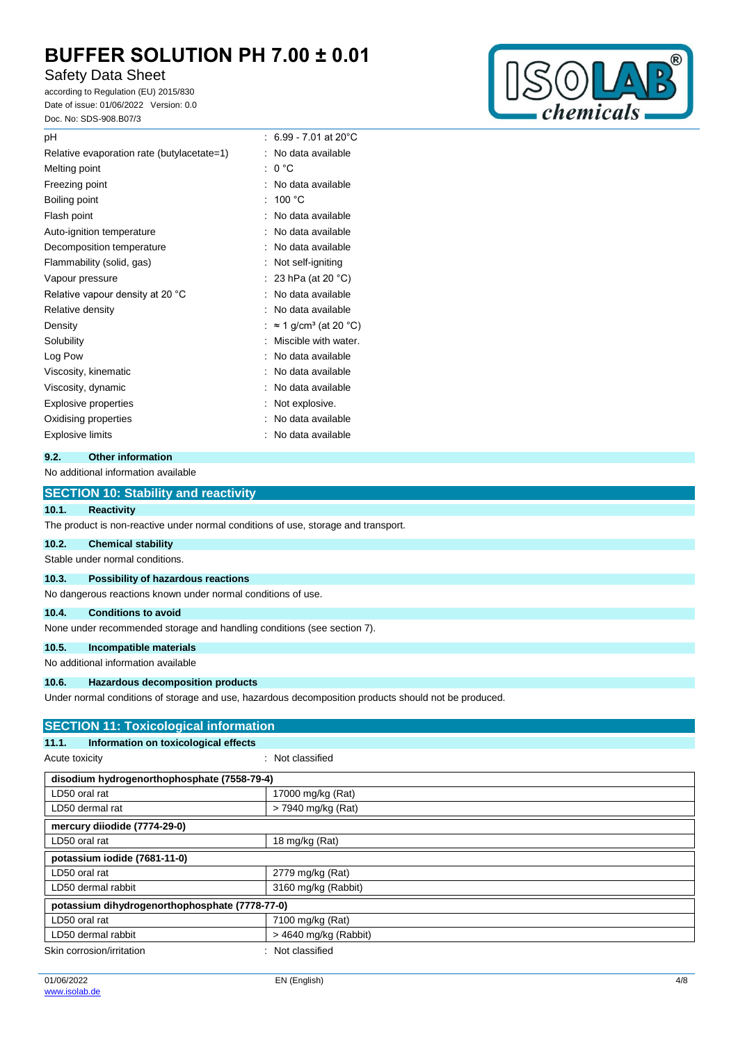# Safety Data Sheet

according to Regulation (EU) 2015/830 Date of issue: 01/06/2022 Version: 0.0 Doc. No: SDS-908.B07/3



| рH                                         |   | : 6.99 - 7.01 at 20 $^{\circ}$ C         |
|--------------------------------------------|---|------------------------------------------|
| Relative evaporation rate (butylacetate=1) |   | No data available                        |
| Melting point                              | t | 0 °C                                     |
| Freezing point                             | ٠ | No data available                        |
| Boiling point                              |   | 100 $^{\circ}$ C                         |
| Flash point                                |   | No data available                        |
| Auto-ignition temperature                  |   | No data available                        |
| Decomposition temperature                  |   | No data available                        |
| Flammability (solid, gas)                  |   | Not self-igniting                        |
| Vapour pressure                            |   | 23 hPa (at 20 °C)                        |
|                                            |   |                                          |
| Relative vapour density at 20 °C           |   | No data available                        |
| Relative density                           |   | No data available                        |
| Density                                    |   | $\approx$ 1 g/cm <sup>3</sup> (at 20 °C) |
| Solubility                                 |   | Miscible with water.                     |
| Log Pow                                    |   | No data available                        |
| Viscosity, kinematic                       |   | No data available                        |
| Viscosity, dynamic                         |   | No data available                        |
| <b>Explosive properties</b>                |   | Not explosive.                           |
| Oxidising properties                       |   | No data available                        |

# **9.2. Other information**

### No additional information available

|                | <b>SECTION 10: Stability and reactivity</b>                                                          |
|----------------|------------------------------------------------------------------------------------------------------|
| 10.1.          | <b>Reactivity</b>                                                                                    |
|                | The product is non-reactive under normal conditions of use, storage and transport.                   |
| 10.2.          | <b>Chemical stability</b>                                                                            |
|                | Stable under normal conditions.                                                                      |
| 10.3.          | Possibility of hazardous reactions                                                                   |
|                | No dangerous reactions known under normal conditions of use.                                         |
| 10.4.          | <b>Conditions to avoid</b>                                                                           |
|                | None under recommended storage and handling conditions (see section 7).                              |
| 10.5.          | Incompatible materials                                                                               |
|                | No additional information available                                                                  |
| 10.6.          | <b>Hazardous decomposition products</b>                                                              |
|                | Under normal conditions of storage and use, hazardous decomposition products should not be produced. |
|                | <b>SECTION 11: Toxicological information</b>                                                         |
| 11.1.          | Information on toxicological effects                                                                 |
| Acute toxicity | : Not classified                                                                                     |
|                | disodium hydrogenorthophosphate (7558-79-4)                                                          |

| LD50 oral rat                                  | 17000 mg/kg (Rat)       |  |
|------------------------------------------------|-------------------------|--|
| LD50 dermal rat                                | > 7940 mg/kg (Rat)      |  |
| mercury diiodide (7774-29-0)                   |                         |  |
| LD50 oral rat                                  | 18 mg/kg (Rat)          |  |
| potassium iodide (7681-11-0)                   |                         |  |
| LD50 oral rat                                  | 2779 mg/kg (Rat)        |  |
| LD50 dermal rabbit                             | 3160 mg/kg (Rabbit)     |  |
| potassium dihydrogenorthophosphate (7778-77-0) |                         |  |
| LD50 oral rat                                  | 7100 mg/kg (Rat)        |  |
| LD50 dermal rabbit                             | $>$ 4640 mg/kg (Rabbit) |  |
| Skin corrosion/irritation                      | : Not classified        |  |
|                                                |                         |  |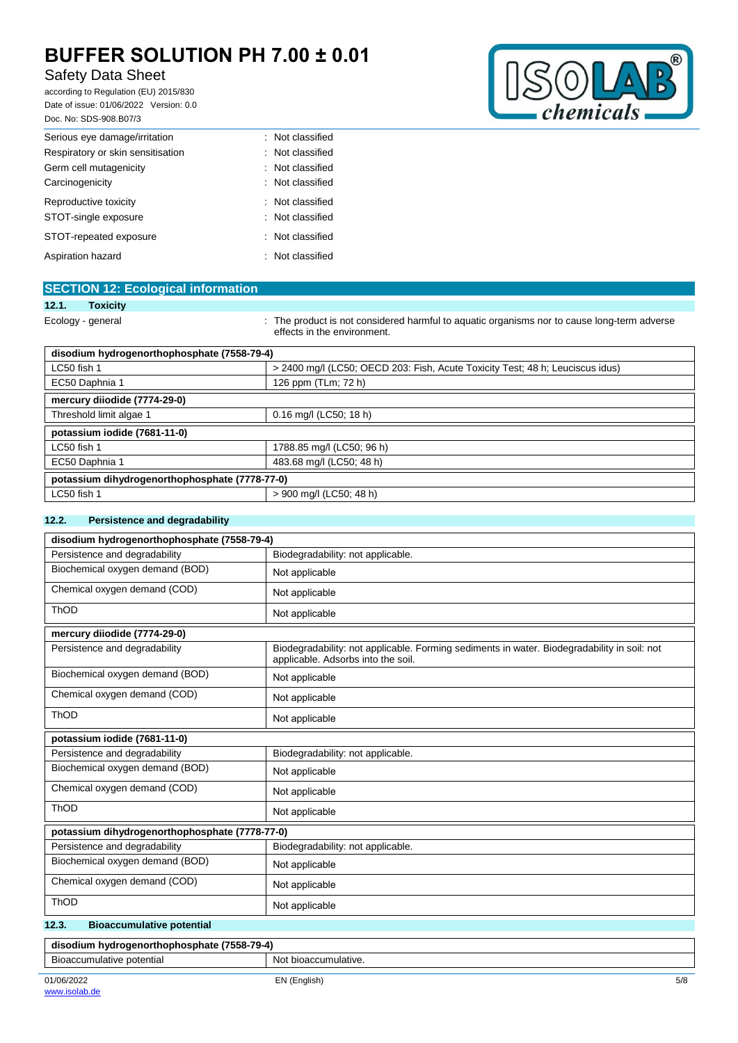# Safety Data Sheet

according to Regulation (EU) 2015/830 Date of issue: 01/06/2022 Version: 0.0 Doc. No: SDS-908.B07/3



| DOC. INO. 3D3-908.B0773           |                  |
|-----------------------------------|------------------|
| Serious eye damage/irritation     | : Not classified |
| Respiratory or skin sensitisation | : Not classified |
| Germ cell mutagenicity            | : Not classified |
| Carcinogenicity                   | : Not classified |
| Reproductive toxicity             | : Not classified |
| STOT-single exposure              | : Not classified |
| STOT-repeated exposure            | : Not classified |
| Aspiration hazard                 | : Not classified |

| <b>SECTION 12: Ecological information</b>      |                                                                                                                            |  |
|------------------------------------------------|----------------------------------------------------------------------------------------------------------------------------|--|
| 12.1.<br><b>Toxicity</b>                       |                                                                                                                            |  |
| Ecology - general                              | : The product is not considered harmful to aquatic organisms nor to cause long-term adverse<br>effects in the environment. |  |
| disodium hydrogenorthophosphate (7558-79-4)    |                                                                                                                            |  |
| LC50 fish 1                                    | > 2400 mg/l (LC50; OECD 203: Fish, Acute Toxicity Test; 48 h; Leuciscus idus)                                              |  |
| EC50 Daphnia 1                                 | 126 ppm (TLm; 72 h)                                                                                                        |  |
| mercury diiodide (7774-29-0)                   |                                                                                                                            |  |
| Threshold limit algae 1                        | 0.16 mg/l (LC50; 18 h)                                                                                                     |  |
| potassium iodide (7681-11-0)                   |                                                                                                                            |  |
| LC50 fish 1                                    | 1788.85 mg/l (LC50; 96 h)                                                                                                  |  |
| EC50 Daphnia 1                                 | 483.68 mg/l (LC50; 48 h)                                                                                                   |  |
| potassium dihydrogenorthophosphate (7778-77-0) |                                                                                                                            |  |
| LC50 fish 1                                    | > 900 mg/l (LC50; 48 h)                                                                                                    |  |

### **12.2. Persistence and degradability**

| disodium hydrogenorthophosphate (7558-79-4)    |                                                                                                                                   |  |  |
|------------------------------------------------|-----------------------------------------------------------------------------------------------------------------------------------|--|--|
| Persistence and degradability                  | Biodegradability: not applicable.                                                                                                 |  |  |
| Biochemical oxygen demand (BOD)                | Not applicable                                                                                                                    |  |  |
| Chemical oxygen demand (COD)                   | Not applicable                                                                                                                    |  |  |
| ThOD                                           | Not applicable                                                                                                                    |  |  |
| mercury diiodide (7774-29-0)                   |                                                                                                                                   |  |  |
| Persistence and degradability                  | Biodegradability: not applicable. Forming sediments in water. Biodegradability in soil: not<br>applicable. Adsorbs into the soil. |  |  |
| Biochemical oxygen demand (BOD)                | Not applicable                                                                                                                    |  |  |
| Chemical oxygen demand (COD)                   | Not applicable                                                                                                                    |  |  |
| ThOD                                           | Not applicable                                                                                                                    |  |  |
| potassium iodide (7681-11-0)                   |                                                                                                                                   |  |  |
| Persistence and degradability                  | Biodegradability: not applicable.                                                                                                 |  |  |
| Biochemical oxygen demand (BOD)                | Not applicable                                                                                                                    |  |  |
| Chemical oxygen demand (COD)                   | Not applicable                                                                                                                    |  |  |
| <b>ThOD</b>                                    | Not applicable                                                                                                                    |  |  |
| potassium dihydrogenorthophosphate (7778-77-0) |                                                                                                                                   |  |  |
| Persistence and degradability                  | Biodegradability: not applicable.                                                                                                 |  |  |
| Biochemical oxygen demand (BOD)                | Not applicable                                                                                                                    |  |  |
| Chemical oxygen demand (COD)                   | Not applicable                                                                                                                    |  |  |
| <b>ThOD</b>                                    | Not applicable                                                                                                                    |  |  |
| 12.3.<br><b>Bioaccumulative potential</b>      |                                                                                                                                   |  |  |
| disodium hydrogenorthophosphate (7558-79-4)    |                                                                                                                                   |  |  |
| Bioaccumulative potential                      | Not bioaccumulative.                                                                                                              |  |  |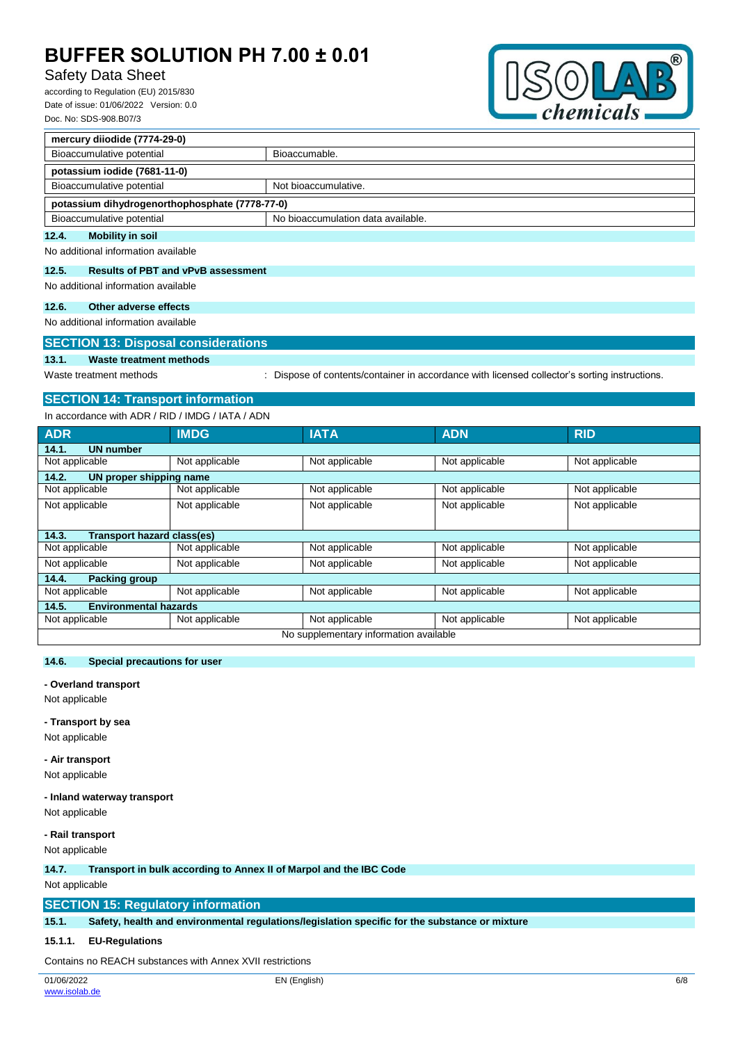# Safety Data Sheet

according to Regulation (EU) 2015/830 Date of issue: 01/06/2022 Version: 0.0 Doc. No: SDS-908.B07/3



| mercury diiodide (7774-29-0)                   |                                    |  |  |  |
|------------------------------------------------|------------------------------------|--|--|--|
| Bioaccumulative potential                      | Bioaccumable.                      |  |  |  |
| potassium iodide (7681-11-0)                   |                                    |  |  |  |
| Bioaccumulative potential                      | Not bioaccumulative.               |  |  |  |
| potassium dihydrogenorthophosphate (7778-77-0) |                                    |  |  |  |
| Bioaccumulative potential                      | No bioaccumulation data available. |  |  |  |

### **12.4. Mobility in soil**

No additional information available

### **12.5. Results of PBT and vPvB assessment**

No additional information available

## **12.6. Other adverse effects**

No additional information available

## **SECTION 13: Disposal considerations**

# **13.1. Waste treatment methods**

Waste treatment methods : Dispose of contents/container in accordance with licensed collector's sorting instructions.

## **SECTION 14: Transport information**

In accordance with ADR / RID / IMDG / IATA / ADN

| <b>ADR</b>                             | <b>IMDG</b>    | <b>IATA</b>    | <b>ADN</b>     | <b>RID</b>     |  |  |
|----------------------------------------|----------------|----------------|----------------|----------------|--|--|
| <b>UN number</b><br>14.1.              |                |                |                |                |  |  |
| Not applicable                         | Not applicable | Not applicable | Not applicable | Not applicable |  |  |
| 14.2.<br>UN proper shipping name       |                |                |                |                |  |  |
| Not applicable                         | Not applicable | Not applicable | Not applicable | Not applicable |  |  |
| Not applicable                         | Not applicable | Not applicable | Not applicable | Not applicable |  |  |
|                                        |                |                |                |                |  |  |
| Transport hazard class(es)<br>14.3.    |                |                |                |                |  |  |
| Not applicable                         | Not applicable | Not applicable | Not applicable | Not applicable |  |  |
| Not applicable                         | Not applicable | Not applicable | Not applicable | Not applicable |  |  |
| 14.4.<br><b>Packing group</b>          |                |                |                |                |  |  |
| Not applicable                         | Not applicable | Not applicable | Not applicable | Not applicable |  |  |
| <b>Environmental hazards</b><br>14.5.  |                |                |                |                |  |  |
| Not applicable                         | Not applicable | Not applicable | Not applicable | Not applicable |  |  |
| No supplementary information available |                |                |                |                |  |  |

## **14.6. Special precautions for user**

**- Overland transport**

Not applicable

#### **- Transport by sea**

Not applicable

**- Air transport** Not applicable

# **- Inland waterway transport**

Not applicable

#### **- Rail transport**

Not applicable

#### **14.7. Transport in bulk according to Annex II of Marpol and the IBC Code**

Not applicable

### **SECTION 15: Regulatory information**

**15.1. Safety, health and environmental regulations/legislation specific for the substance or mixture**

### **15.1.1. EU-Regulations**

Contains no REACH substances with Annex XVII restrictions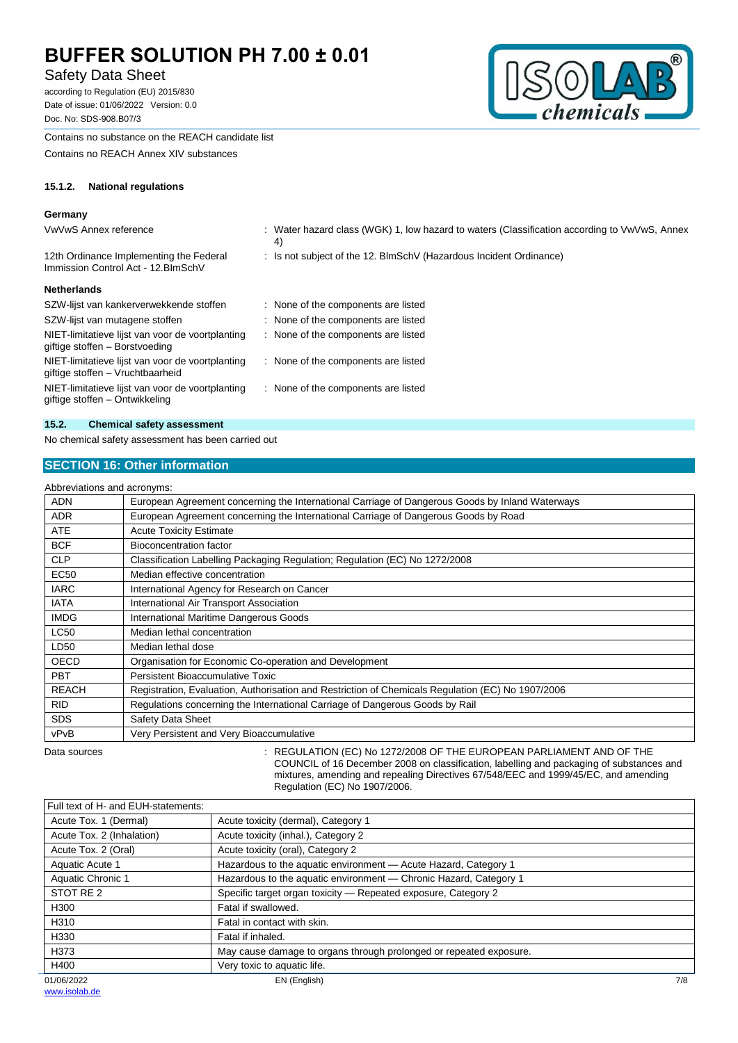# Safety Data Sheet

according to Regulation (EU) 2015/830 Date of issue: 01/06/2022 Version: 0.0 Doc. No: SDS-908.B07/3



Contains no substance on the REACH candidate list

Contains no REACH Annex XIV substances

### **15.1.2. National regulations**

# Germany<br>*Voltain* A

| VwVwS Annex reference                                                                | : Water hazard class (WGK) 1, low hazard to waters (Classification according to VwVwS, Annex<br>4) |
|--------------------------------------------------------------------------------------|----------------------------------------------------------------------------------------------------|
| 12th Ordinance Implementing the Federal<br>Immission Control Act - 12. BlmSchV       | : Is not subject of the 12. BlmSchV (Hazardous Incident Ordinance)                                 |
| <b>Netherlands</b>                                                                   |                                                                                                    |
| SZW-lijst van kankerverwekkende stoffen                                              | None of the components are listed                                                                  |
| SZW-lijst van mutagene stoffen                                                       | None of the components are listed                                                                  |
| NIET-limitatieve lijst van voor de voortplanting<br>giftige stoffen – Borstvoeding   | : None of the components are listed                                                                |
| NIET-limitatieve lijst van voor de voortplanting<br>giftige stoffen – Vruchtbaarheid | : None of the components are listed                                                                |
| NIET-limitatieve lijst van voor de voortplanting<br>giftige stoffen – Ontwikkeling   | : None of the components are listed                                                                |
|                                                                                      |                                                                                                    |

#### **15.2. Chemical safety assessment**

No chemical safety assessment has been carried out

## **SECTION 16: Other information**

|              | Abbreviations and acronyms:                                                                       |
|--------------|---------------------------------------------------------------------------------------------------|
| <b>ADN</b>   | European Agreement concerning the International Carriage of Dangerous Goods by Inland Waterways   |
| <b>ADR</b>   | European Agreement concerning the International Carriage of Dangerous Goods by Road               |
| <b>ATE</b>   | <b>Acute Toxicity Estimate</b>                                                                    |
| <b>BCF</b>   | Bioconcentration factor                                                                           |
| <b>CLP</b>   | Classification Labelling Packaging Regulation; Regulation (EC) No 1272/2008                       |
| <b>EC50</b>  | Median effective concentration                                                                    |
| <b>IARC</b>  | International Agency for Research on Cancer                                                       |
| <b>IATA</b>  | International Air Transport Association                                                           |
| <b>IMDG</b>  | International Maritime Dangerous Goods                                                            |
| <b>LC50</b>  | Median lethal concentration                                                                       |
| LD50         | Median lethal dose                                                                                |
| <b>OECD</b>  | Organisation for Economic Co-operation and Development                                            |
| <b>PBT</b>   | Persistent Bioaccumulative Toxic                                                                  |
| <b>REACH</b> | Registration, Evaluation, Authorisation and Restriction of Chemicals Regulation (EC) No 1907/2006 |
| <b>RID</b>   | Regulations concerning the International Carriage of Dangerous Goods by Rail                      |
| <b>SDS</b>   | Safety Data Sheet                                                                                 |
| vPvB         | Very Persistent and Very Bioaccumulative                                                          |
|              |                                                                                                   |

Data sources : REGULATION (EC) No 1272/2008 OF THE EUROPEAN PARLIAMENT AND OF THE COUNCIL of 16 December 2008 on classification, labelling and packaging of substances and mixtures, amending and repealing Directives 67/548/EEC and 1999/45/EC, and amending Regulation (EC) No 1907/2006.

| Full text of H- and EUH-statements: |                                                                    |     |
|-------------------------------------|--------------------------------------------------------------------|-----|
| Acute Tox. 1 (Dermal)               | Acute toxicity (dermal), Category 1                                |     |
| Acute Tox. 2 (Inhalation)           | Acute toxicity (inhal.), Category 2                                |     |
| Acute Tox. 2 (Oral)                 | Acute toxicity (oral), Category 2                                  |     |
| Aquatic Acute 1                     | Hazardous to the aquatic environment - Acute Hazard, Category 1    |     |
| Aquatic Chronic 1                   | Hazardous to the aquatic environment - Chronic Hazard, Category 1  |     |
| STOT RE 2                           | Specific target organ toxicity - Repeated exposure, Category 2     |     |
| H300                                | Fatal if swallowed.                                                |     |
| H310                                | Fatal in contact with skin.                                        |     |
| H330                                | Fatal if inhaled.                                                  |     |
| H373                                | May cause damage to organs through prolonged or repeated exposure. |     |
| H400                                | Very toxic to aquatic life.                                        |     |
| 01/06/2022                          | EN (English)                                                       | 7/8 |